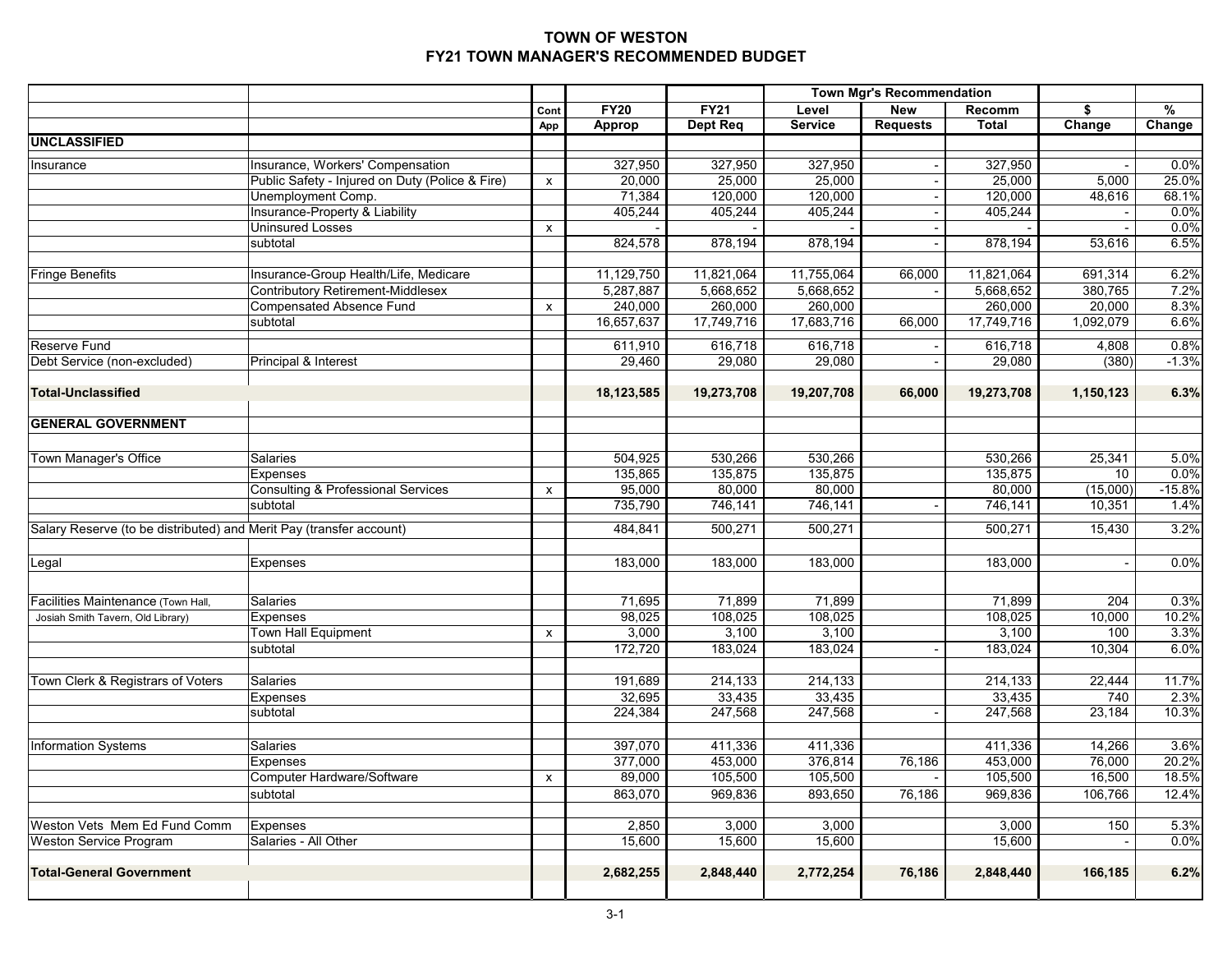|                                                                     |                                                 |      |                      |                      |            | <b>Town Mgr's Recommendation</b> |              |           |          |
|---------------------------------------------------------------------|-------------------------------------------------|------|----------------------|----------------------|------------|----------------------------------|--------------|-----------|----------|
|                                                                     |                                                 | Cont | <b>FY20</b>          | <b>FY21</b>          | Level      | <b>New</b>                       | Recomm       | \$        | %        |
|                                                                     |                                                 | App  | <b>Approp</b>        | Dept Req             | Service    | <b>Requests</b>                  | <b>Total</b> | Change    | Change   |
| <b>UNCLASSIFIED</b>                                                 |                                                 |      |                      |                      |            |                                  |              |           |          |
| Insurance                                                           | Insurance, Workers' Compensation                |      | 327,950              | 327,950              | 327,950    |                                  | 327,950      |           | 0.0%     |
|                                                                     | Public Safety - Injured on Duty (Police & Fire) | X    | 20,000               | 25,000               | 25,000     |                                  | 25,000       | 5,000     | 25.0%    |
|                                                                     | Unemployment Comp.                              |      | 71,384               | 120,000              | 120,000    |                                  | 120,000      | 48,616    | 68.1%    |
|                                                                     | Insurance-Property & Liability                  |      | 405,244              | 405,244              | 405,244    |                                  | 405,244      |           | 0.0%     |
|                                                                     | <b>Uninsured Losses</b>                         | X    |                      |                      |            |                                  |              |           | 0.0%     |
|                                                                     | subtotal                                        |      | 824,578              | 878,194              | 878,194    |                                  | 878,194      | 53,616    | 6.5%     |
|                                                                     |                                                 |      |                      |                      |            |                                  |              |           |          |
| <b>Fringe Benefits</b>                                              | Insurance-Group Health/Life, Medicare           |      | 11,129,750           | 11,821,064           | 11,755,064 | 66,000                           | 11,821,064   | 691,314   | 6.2%     |
|                                                                     | <b>Contributory Retirement-Middlesex</b>        |      | 5,287,887            | 5,668,652            | 5,668,652  |                                  | 5,668,652    | 380,765   | 7.2%     |
|                                                                     | <b>Compensated Absence Fund</b>                 | x    | 240.000              | 260,000              | 260,000    |                                  | 260,000      | 20,000    | 8.3%     |
|                                                                     | subtotal                                        |      | 16,657,637           | 17,749,716           | 17,683,716 | 66,000                           | 17,749,716   | 1,092,079 | 6.6%     |
| Reserve Fund                                                        |                                                 |      | 611,910              | 616,718              | 616,718    |                                  | 616,718      | 4,808     | 0.8%     |
| Debt Service (non-excluded)                                         | Principal & Interest                            |      | 29,460               | 29,080               | 29,080     |                                  | 29,080       | (380)     | $-1.3%$  |
|                                                                     |                                                 |      |                      |                      |            |                                  |              |           |          |
| <b>Total-Unclassified</b>                                           |                                                 |      | 18,123,585           | 19,273,708           | 19,207,708 | 66,000                           | 19,273,708   | 1,150,123 | 6.3%     |
|                                                                     |                                                 |      |                      |                      |            |                                  |              |           |          |
| <b>GENERAL GOVERNMENT</b>                                           |                                                 |      |                      |                      |            |                                  |              |           |          |
|                                                                     |                                                 |      |                      |                      |            |                                  |              |           |          |
| Town Manager's Office                                               | <b>Salaries</b>                                 |      | $\overline{504,925}$ | $\overline{530,266}$ | 530,266    |                                  | 530,266      | 25,341    | 5.0%     |
|                                                                     | Expenses                                        |      | 135,865              | 135,875              | 135,875    |                                  | 135,875      | 10        | 0.0%     |
|                                                                     | <b>Consulting &amp; Professional Services</b>   | x    | 95,000               | 80,000               | 80,000     |                                  | 80,000       | (15,000)  | $-15.8%$ |
|                                                                     | subtotal                                        |      | 735,790              | 746,141              | 746,141    |                                  | 746,141      | 10,351    | 1.4%     |
|                                                                     |                                                 |      |                      |                      |            |                                  |              |           |          |
| Salary Reserve (to be distributed) and Merit Pay (transfer account) |                                                 |      | 484,841              | 500,271              | 500,271    |                                  | 500,271      | 15,430    | 3.2%     |
|                                                                     |                                                 |      |                      |                      |            |                                  |              |           |          |
| Legal                                                               | <b>Expenses</b>                                 |      | 183,000              | 183,000              | 183,000    |                                  | 183,000      |           | 0.0%     |
|                                                                     |                                                 |      |                      |                      |            |                                  |              |           |          |
| acilities Maintenance (Town Hall,                                   | Salaries                                        |      | 71,695               | 71,899               | 71,899     |                                  | 71,899       | 204       | 0.3%     |
| Josiah Smith Tavern, Old Library)                                   | Expenses                                        |      | 98,025               | 108,025              | 108,025    |                                  | 108,025      | 10,000    | 10.2%    |
|                                                                     | <b>Town Hall Equipment</b>                      | x    | 3,000                | 3,100                | 3,100      |                                  | 3,100        | 100       | 3.3%     |
|                                                                     | subtotal                                        |      | 172,720              | 183,024              | 183,024    |                                  | 183,024      | 10,304    | 6.0%     |
|                                                                     |                                                 |      |                      |                      |            |                                  |              |           |          |
| Town Clerk & Registrars of Voters                                   | Salaries                                        |      | 191,689              | 214,133              | 214,133    |                                  | 214,133      | 22,444    | 11.7%    |
|                                                                     | Expenses                                        |      | 32,695               | 33,435               | 33,435     |                                  | 33,435       | 740       | 2.3%     |
|                                                                     | subtotal                                        |      | 224,384              | 247,568              | 247,568    |                                  | 247,568      | 23,184    | 10.3%    |
|                                                                     |                                                 |      |                      |                      |            |                                  |              |           |          |
| <b>Information Systems</b>                                          | Salaries                                        |      | 397,070              | 411,336              | 411,336    |                                  | 411,336      | 14,266    | 3.6%     |
|                                                                     | Expenses                                        |      | 377,000              | 453,000              | 376,814    | 76,186                           | 453,000      | 76,000    | 20.2%    |
|                                                                     | Computer Hardware/Software                      | X    | 89,000               | 105,500              | 105,500    |                                  | 105,500      | 16,500    | 18.5%    |
|                                                                     | subtotal                                        |      | 863,070              | 969,836              | 893,650    | 76,186                           | 969,836      | 106,766   | 12.4%    |
|                                                                     |                                                 |      |                      |                      |            |                                  |              |           |          |
| Weston Vets Mem Ed Fund Comm                                        | Expenses                                        |      | 2,850                | 3,000                | 3,000      |                                  | 3,000        | 150       | 5.3%     |
| <b>Weston Service Program</b>                                       | Salaries - All Other                            |      | 15,600               | 15,600               | 15,600     |                                  | 15,600       |           | 0.0%     |
|                                                                     |                                                 |      |                      |                      |            |                                  |              |           |          |
| <b>Total-General Government</b>                                     |                                                 |      | 2,682,255            | 2,848,440            | 2,772,254  | 76,186                           | 2,848,440    | 166,185   | 6.2%     |
|                                                                     |                                                 |      |                      |                      |            |                                  |              |           |          |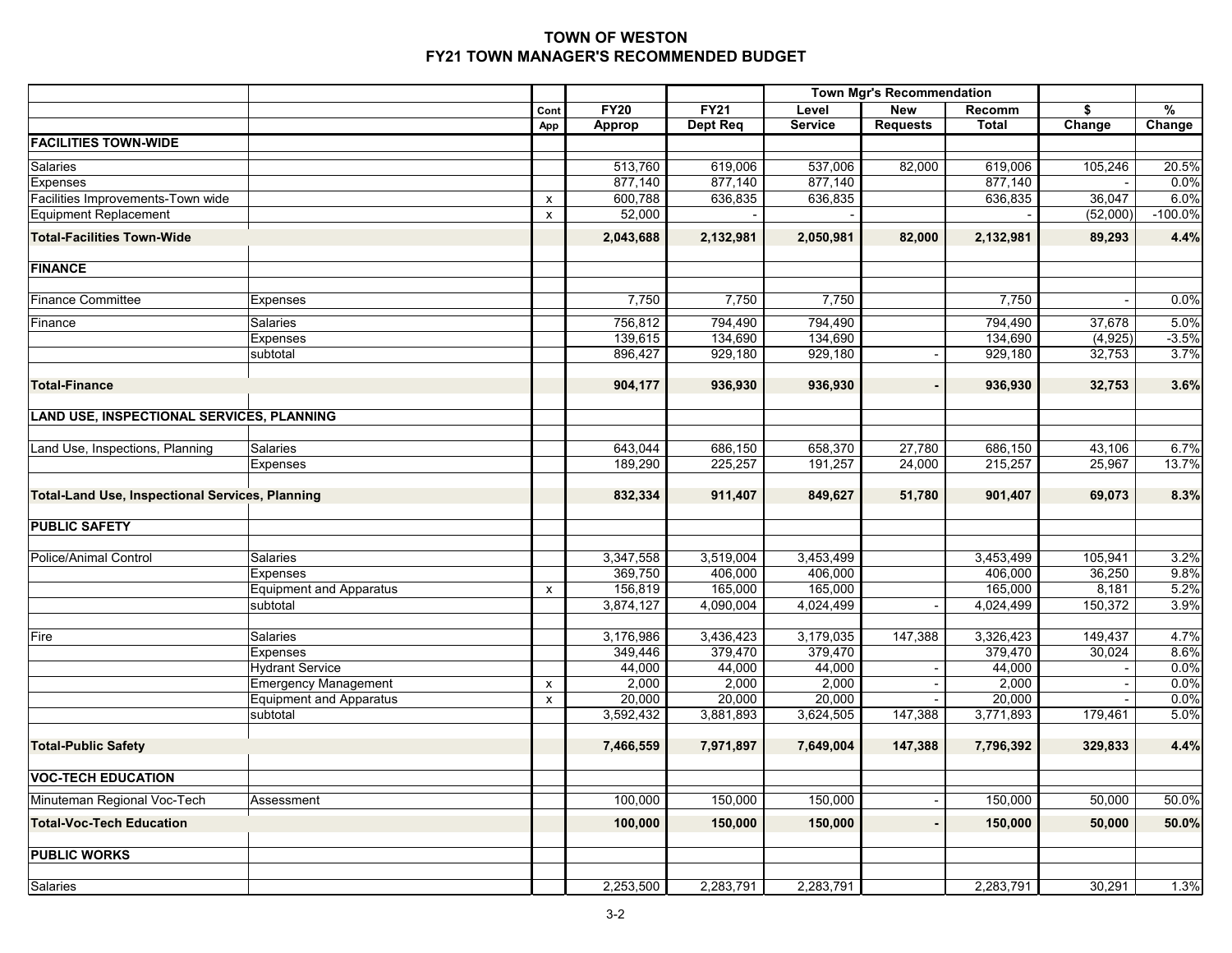|                                                        |                                |                    |               |                 |                | <b>Town Mgr's Recommendation</b> |              |          |           |
|--------------------------------------------------------|--------------------------------|--------------------|---------------|-----------------|----------------|----------------------------------|--------------|----------|-----------|
|                                                        |                                | Cont               | <b>FY20</b>   | <b>FY21</b>     | Level          | <b>New</b>                       | Recomm       | \$       | %         |
|                                                        |                                | App                | <b>Approp</b> | <b>Dept Req</b> | <b>Service</b> | <b>Requests</b>                  | <b>Total</b> | Change   | Change    |
| <b>FACILITIES TOWN-WIDE</b>                            |                                |                    |               |                 |                |                                  |              |          |           |
| Salaries                                               |                                |                    | 513,760       | 619,006         | 537,006        | 82,000                           | 619,006      | 105,246  | 20.5%     |
| <b>Expenses</b>                                        |                                |                    | 877,140       | 877,140         | 877,140        |                                  | 877,140      |          | 0.0%      |
| Facilities Improvements-Town wide                      |                                | x                  | 600,788       | 636,835         | 636,835        |                                  | 636,835      | 36,047   | 6.0%      |
| <b>Equipment Replacement</b>                           |                                | x                  | 52,000        |                 |                |                                  |              | (52,000) | $-100.0%$ |
| <b>Total-Facilities Town-Wide</b>                      |                                |                    | 2,043,688     | 2,132,981       | 2,050,981      | 82,000                           | 2,132,981    | 89,293   | 4.4%      |
| <b>FINANCE</b>                                         |                                |                    |               |                 |                |                                  |              |          |           |
| <b>Finance Committee</b>                               |                                |                    | 7,750         | 7,750           | 7,750          |                                  |              |          |           |
|                                                        | <b>Expenses</b>                |                    |               |                 |                |                                  | 7,750        |          | 0.0%      |
| Finance                                                | <b>Salaries</b>                |                    | 756,812       | 794,490         | 794,490        |                                  | 794,490      | 37,678   | 5.0%      |
|                                                        | Expenses                       |                    | 139,615       | 134,690         | 134,690        |                                  | 134,690      | (4, 925) | $-3.5%$   |
|                                                        | subtotal                       |                    | 896,427       | 929,180         | 929,180        |                                  | 929,180      | 32,753   | 3.7%      |
|                                                        |                                |                    |               |                 |                |                                  |              |          | 3.6%      |
| <b>Total-Finance</b>                                   |                                |                    | 904,177       | 936,930         | 936,930        |                                  | 936,930      | 32,753   |           |
| LAND USE, INSPECTIONAL SERVICES, PLANNING              |                                |                    |               |                 |                |                                  |              |          |           |
| Land Use, Inspections, Planning                        | Salaries                       |                    | 643,044       | 686,150         | 658,370        | 27,780                           | 686,150      | 43,106   | 6.7%      |
|                                                        | Expenses                       |                    | 189,290       | 225,257         | 191,257        | 24,000                           | 215,257      | 25,967   | 13.7%     |
|                                                        |                                |                    |               |                 |                |                                  |              |          |           |
| <b>Total-Land Use, Inspectional Services, Planning</b> |                                |                    | 832,334       | 911,407         | 849,627        | 51,780                           | 901,407      | 69,073   | 8.3%      |
| <b>PUBLIC SAFETY</b>                                   |                                |                    |               |                 |                |                                  |              |          |           |
|                                                        |                                |                    |               |                 |                |                                  |              |          |           |
| <b>Police/Animal Control</b>                           | Salaries                       |                    | 3,347,558     | 3,519,004       | 3,453,499      |                                  | 3,453,499    | 105,941  | 3.2%      |
|                                                        | Expenses                       |                    | 369,750       | 406,000         | 406,000        |                                  | 406,000      | 36,250   | 9.8%      |
|                                                        | <b>Equipment and Apparatus</b> | X                  | 156,819       | 165,000         | 165,000        |                                  | 165,000      | 8,181    | 5.2%      |
|                                                        | subtotal                       |                    | 3,874,127     | 4,090,004       | 4,024,499      |                                  | 4,024,499    | 150,372  | 3.9%      |
|                                                        |                                |                    |               |                 |                |                                  |              |          |           |
| Fire                                                   | Salaries                       |                    | 3,176,986     | 3,436,423       | 3,179,035      | 147,388                          | 3,326,423    | 149,437  | 4.7%      |
|                                                        | <b>Expenses</b>                |                    | 349,446       | 379,470         | 379,470        |                                  | 379,470      | 30,024   | 8.6%      |
|                                                        | <b>Hydrant Service</b>         |                    | 44,000        | 44,000          | 44,000         |                                  | 44,000       |          | 0.0%      |
|                                                        | <b>Emergency Management</b>    | X                  | 2,000         | 2,000           | 2,000          |                                  | 2,000        |          | 0.0%      |
|                                                        | <b>Equipment and Apparatus</b> | $\pmb{\mathsf{x}}$ | 20,000        | 20,000          | 20,000         |                                  | 20,000       |          | 0.0%      |
|                                                        | subtotal                       |                    | 3,592,432     | 3,881,893       | 3,624,505      | 147,388                          | 3,771,893    | 179,461  | 5.0%      |
| <b>Total-Public Safety</b>                             |                                |                    | 7,466,559     | 7,971,897       | 7,649,004      | 147,388                          | 7,796,392    | 329,833  | 4.4%      |
| <b>VOC-TECH EDUCATION</b>                              |                                |                    |               |                 |                |                                  |              |          |           |
| Minuteman Regional Voc-Tech                            | Assessment                     |                    | 100,000       | 150,000         | 150,000        |                                  | 150,000      | 50,000   | 50.0%     |
| <b>Total-Voc-Tech Education</b>                        |                                |                    | 100,000       | 150,000         | 150,000        |                                  | 150,000      | 50,000   | 50.0%     |
| <b>PUBLIC WORKS</b>                                    |                                |                    |               |                 |                |                                  |              |          |           |
|                                                        |                                |                    |               |                 |                |                                  |              |          |           |
| Salaries                                               |                                |                    | 2,253,500     | 2,283,791       | 2,283,791      |                                  | 2,283,791    | 30,291   | 1.3%      |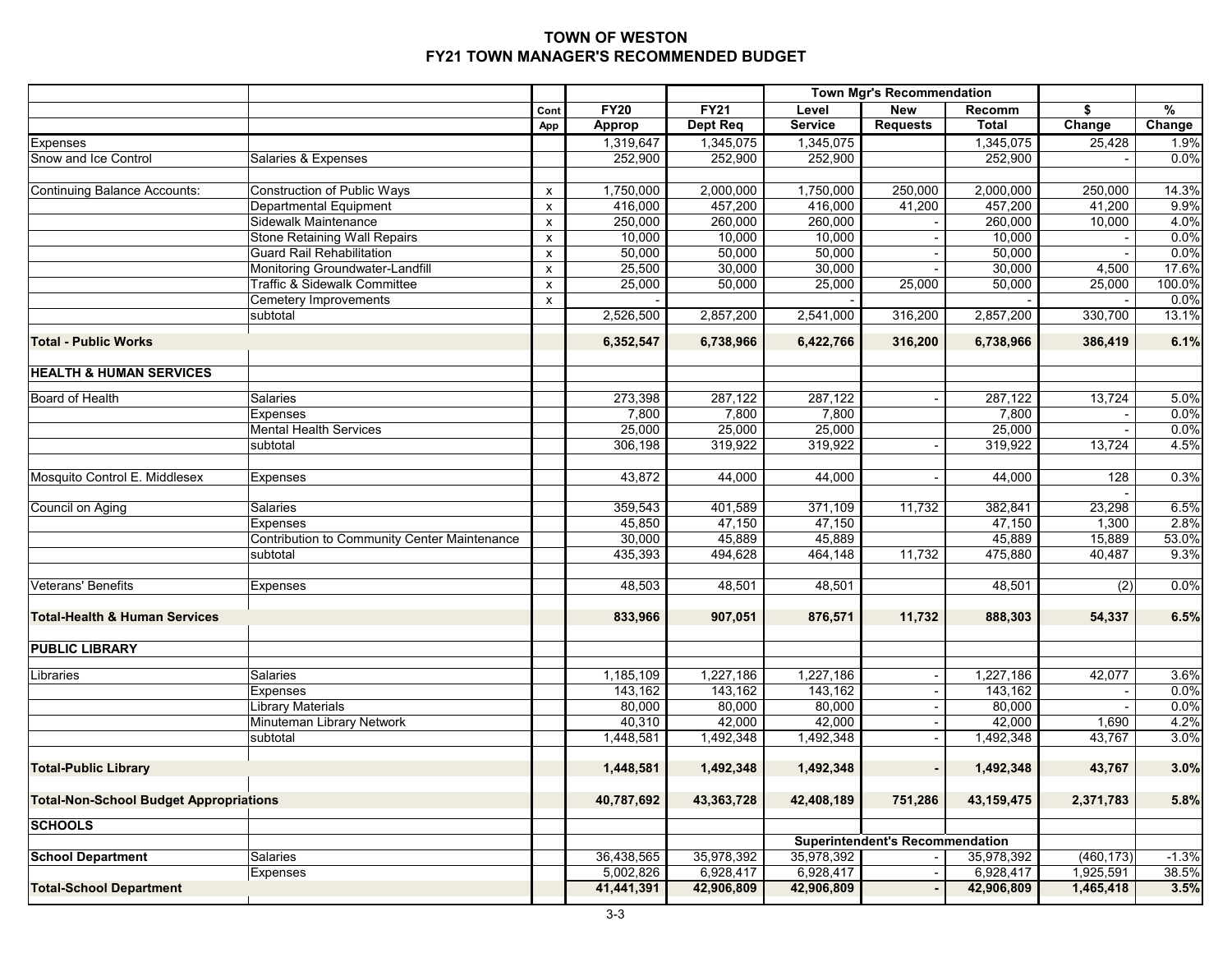|                                               |                                              |                |               |                 |                | <b>Town Mgr's Recommendation</b>       |              |                  |               |
|-----------------------------------------------|----------------------------------------------|----------------|---------------|-----------------|----------------|----------------------------------------|--------------|------------------|---------------|
|                                               |                                              | Cont           | <b>FY20</b>   | <b>FY21</b>     | Level          | <b>New</b>                             | Recomm       | \$               | $\frac{0}{0}$ |
|                                               |                                              | App            | <b>Approp</b> | <b>Dept Req</b> | <b>Service</b> | <b>Requests</b>                        | <b>Total</b> | Change           | Change        |
| Expenses                                      |                                              |                | 1,319,647     | 1,345,075       | 1,345,075      |                                        | 1,345,075    | 25,428           | 1.9%          |
| Snow and Ice Control                          | Salaries & Expenses                          |                | 252,900       | 252,900         | 252,900        |                                        | 252,900      |                  | 0.0%          |
|                                               |                                              |                |               |                 |                |                                        |              |                  |               |
| <b>Continuing Balance Accounts:</b>           | Construction of Public Ways                  | X              | 1,750,000     | 2,000,000       | 1,750,000      | 250,000                                | 2,000,000    | 250,000          | 14.3%         |
|                                               | Departmental Equipment                       | x              | 416,000       | 457,200         | 416,000        | 41,200                                 | 457,200      | 41,200           | 9.9%          |
|                                               | Sidewalk Maintenance                         | $\pmb{\times}$ | 250,000       | 260,000         | 260,000        |                                        | 260,000      | 10,000           | 4.0%          |
|                                               | <b>Stone Retaining Wall Repairs</b>          | X              | 10,000        | 10,000          | 10,000         |                                        | 10,000       |                  | 0.0%          |
|                                               | <b>Guard Rail Rehabilitation</b>             | x              | 50,000        | 50,000          | 50,000         |                                        | 50,000       |                  | 0.0%          |
|                                               | Monitoring Groundwater-Landfill              | x              | 25,500        | 30,000          | 30,000         |                                        | 30,000       | 4,500            | 17.6%         |
|                                               | Traffic & Sidewalk Committee                 | X              | 25,000        | 50,000          | 25,000         | 25,000                                 | 50,000       | 25,000           | 100.0%        |
|                                               | <b>Cemetery Improvements</b>                 | x              |               |                 |                |                                        |              |                  | 0.0%          |
|                                               | subtotal                                     |                | 2,526,500     | 2,857,200       | 2,541,000      | 316,200                                | 2,857,200    | 330,700          | 13.1%         |
| <b>Total - Public Works</b>                   |                                              |                | 6,352,547     | 6,738,966       | 6,422,766      | 316,200                                | 6,738,966    | 386,419          | 6.1%          |
| <b>HEALTH &amp; HUMAN SERVICES</b>            |                                              |                |               |                 |                |                                        |              |                  |               |
| Board of Health                               | <b>Salaries</b>                              |                | 273,398       | 287,122         | 287,122        |                                        | 287,122      | 13,724           | 5.0%          |
|                                               | <b>Expenses</b>                              |                | 7,800         | 7,800           | 7,800          |                                        | 7,800        |                  | 0.0%          |
|                                               | <b>Mental Health Services</b>                |                | 25,000        | 25,000          | 25,000         |                                        | 25,000       |                  | 0.0%          |
|                                               | subtotal                                     |                | 306,198       | 319,922         | 319,922        |                                        | 319,922      | 13,724           | 4.5%          |
|                                               |                                              |                |               |                 |                |                                        |              |                  |               |
| Mosquito Control E. Middlesex                 | Expenses                                     |                | 43,872        | 44,000          | 44,000         |                                        | 44,000       | 128              | 0.3%          |
| Council on Aging                              | <b>Salaries</b>                              |                | 359,543       | 401,589         | 371,109        | 11,732                                 | 382,841      | 23,298           | 6.5%          |
|                                               | Expenses                                     |                | 45,850        | 47,150          | 47,150         |                                        | 47,150       | 1,300            | 2.8%          |
|                                               | Contribution to Community Center Maintenance |                | 30,000        | 45,889          | 45,889         |                                        | 45,889       | 15,889           | 53.0%         |
|                                               | subtotal                                     |                | 435,393       | 494,628         | 464,148        | 11,732                                 | 475,880      | 40,487           | 9.3%          |
|                                               |                                              |                |               |                 |                |                                        |              |                  |               |
| <b>Veterans' Benefits</b>                     | <b>Expenses</b>                              |                | 48,503        | 48,501          | 48,501         |                                        | 48,501       | $\overline{(2)}$ | 0.0%          |
| <b>Total-Health &amp; Human Services</b>      |                                              |                | 833,966       | 907,051         | 876,571        | 11,732                                 | 888,303      | 54,337           | 6.5%          |
| <b>PUBLIC LIBRARY</b>                         |                                              |                |               |                 |                |                                        |              |                  |               |
|                                               |                                              |                |               |                 |                |                                        |              |                  |               |
| Libraries                                     | Salaries                                     |                | 1,185,109     | 1,227,186       | 1,227,186      |                                        | 1,227,186    | 42,077           | 3.6%          |
|                                               | Expenses                                     |                | 143,162       | 143,162         | 143,162        |                                        | 143,162      |                  | 0.0%          |
|                                               | <b>Library Materials</b>                     |                | 80,000        | 80,000          | 80,000         |                                        | 80,000       |                  | 0.0%          |
|                                               | Minuteman Library Network                    |                | 40,310        | 42,000          | 42,000         |                                        | 42,000       | 1,690            | 4.2%          |
|                                               | subtotal                                     |                | 1,448,581     | 1,492,348       | 1,492,348      |                                        | 1,492,348    | 43,767           | 3.0%          |
| <b>Total-Public Library</b>                   |                                              |                | 1,448,581     | 1,492,348       | 1,492,348      |                                        | 1,492,348    | 43,767           | 3.0%          |
| <b>Total-Non-School Budget Appropriations</b> |                                              |                | 40,787,692    | 43,363,728      | 42,408,189     | 751,286                                | 43, 159, 475 | 2,371,783        | 5.8%          |
| <b>SCHOOLS</b>                                |                                              |                |               |                 |                |                                        |              |                  |               |
|                                               |                                              |                |               |                 |                | <b>Superintendent's Recommendation</b> |              |                  |               |
| <b>School Department</b>                      | Salaries                                     |                | 36,438,565    | 35,978,392      | 35,978,392     |                                        | 35,978,392   | (460, 173)       | $-1.3%$       |
|                                               | Expenses                                     |                | 5,002,826     | 6,928,417       | 6,928,417      |                                        | 6,928,417    | 1,925,591        | 38.5%         |
| <b>Total-School Department</b>                |                                              |                | 41,441,391    | 42,906,809      | 42,906,809     |                                        | 42,906,809   | 1,465,418        | 3.5%          |